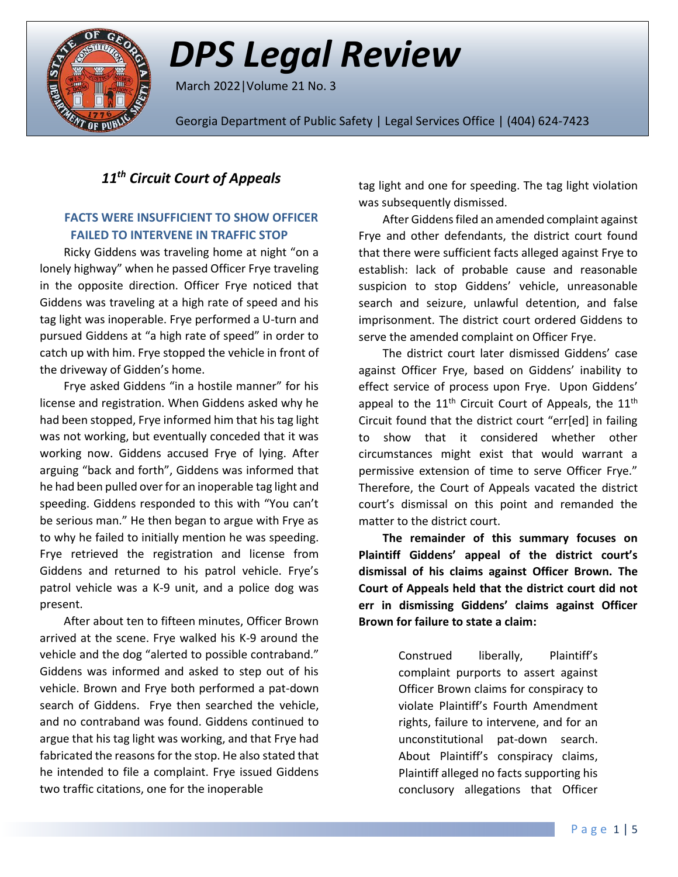

# *DPS Legal Review*

March 2022|Volume 21 No. 3

Georgia Department of Public Safety | Legal Services Office | (404) 624-7423

## *11th Circuit Court of Appeals*

### **FACTS WERE INSUFFICIENT TO SHOW OFFICER FAILED TO INTERVENE IN TRAFFIC STOP**

Ricky Giddens was traveling home at night "on a lonely highway" when he passed Officer Frye traveling in the opposite direction. Officer Frye noticed that Giddens was traveling at a high rate of speed and his tag light was inoperable. Frye performed a U-turn and pursued Giddens at "a high rate of speed" in order to catch up with him. Frye stopped the vehicle in front of the driveway of Gidden's home.

Frye asked Giddens "in a hostile manner" for his license and registration. When Giddens asked why he had been stopped, Frye informed him that his tag light was not working, but eventually conceded that it was working now. Giddens accused Frye of lying. After arguing "back and forth", Giddens was informed that he had been pulled over for an inoperable tag light and speeding. Giddens responded to this with "You can't be serious man." He then began to argue with Frye as to why he failed to initially mention he was speeding. Frye retrieved the registration and license from Giddens and returned to his patrol vehicle. Frye's patrol vehicle was a K-9 unit, and a police dog was present.

After about ten to fifteen minutes, Officer Brown arrived at the scene. Frye walked his K-9 around the vehicle and the dog "alerted to possible contraband." Giddens was informed and asked to step out of his vehicle. Brown and Frye both performed a pat-down search of Giddens. Frye then searched the vehicle, and no contraband was found. Giddens continued to argue that his tag light was working, and that Frye had fabricated the reasons for the stop. He also stated that he intended to file a complaint. Frye issued Giddens two traffic citations, one for the inoperable

tag light and one for speeding. The tag light violation was subsequently dismissed.

After Giddens filed an amended complaint against Frye and other defendants, the district court found that there were sufficient facts alleged against Frye to establish: lack of probable cause and reasonable suspicion to stop Giddens' vehicle, unreasonable search and seizure, unlawful detention, and false imprisonment. The district court ordered Giddens to serve the amended complaint on Officer Frye.

The district court later dismissed Giddens' case against Officer Frye, based on Giddens' inability to effect service of process upon Frye. Upon Giddens' appeal to the  $11<sup>th</sup>$  Circuit Court of Appeals, the  $11<sup>th</sup>$ Circuit found that the district court "err[ed] in failing to show that it considered whether other circumstances might exist that would warrant a permissive extension of time to serve Officer Frye." Therefore, the Court of Appeals vacated the district court's dismissal on this point and remanded the matter to the district court.

**The remainder of this summary focuses on Plaintiff Giddens' appeal of the district court's dismissal of his claims against Officer Brown. The Court of Appeals held that the district court did not err in dismissing Giddens' claims against Officer Brown for failure to state a claim:**

> Construed liberally, Plaintiff's complaint purports to assert against Officer Brown claims for conspiracy to violate Plaintiff's Fourth Amendment rights, failure to intervene, and for an unconstitutional pat-down search. About Plaintiff's conspiracy claims, Plaintiff alleged no facts supporting his conclusory allegations that Officer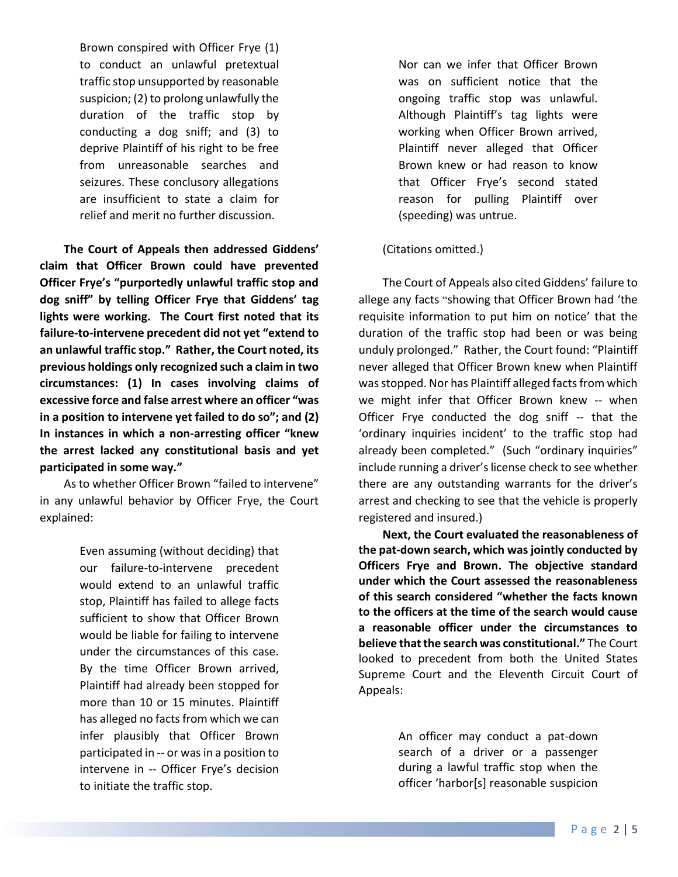Brown conspired with Officer Frye (1) to conduct an unlawful pretextual traffic stop unsupported by reasonable suspicion; (2) to prolong unlawfully the duration of the traffic stop by conducting a dog sniff; and (3) to deprive Plaintiff of his right to be free from unreasonable searches and seizures. These conclusory allegations are insufficient to state a claim for relief and merit no further discussion.

**The Court of Appeals then addressed Giddens' claim that Officer Brown could have prevented Officer Frye's "purportedly unlawful traffic stop and dog sniff" by telling Officer Frye that Giddens' tag lights were working. The Court first noted that its failure-to-intervene precedent did not yet "extend to an unlawful traffic stop." Rather, the Court noted, its previous holdings only recognized such a claim in two circumstances: (1) In cases involving claims of excessive force and false arrest where an officer "was in a position to intervene yet failed to do so"; and (2) In instances in which a non-arresting officer "knew the arrest lacked any constitutional basis and yet participated in some way."**

As to whether Officer Brown "failed to intervene" in any unlawful behavior by Officer Frye, the Court explained:

> Even assuming (without deciding) that our failure-to-intervene precedent would extend to an unlawful traffic stop, Plaintiff has failed to allege facts sufficient to show that Officer Brown would be liable for failing to intervene under the circumstances of this case. By the time Officer Brown arrived, Plaintiff had already been stopped for more than 10 or 15 minutes. Plaintiff has alleged no facts from which we can infer plausibly that Officer Brown participated in -- or was in a position to intervene in -- Officer Frye's decision to initiate the traffic stop.

Nor can we infer that Officer Brown was on sufficient notice that the ongoing traffic stop was unlawful. Although Plaintiff's tag lights were working when Officer Brown arrived, Plaintiff never alleged that Officer Brown knew or had reason to know that Officer Frye's second stated reason for pulling Plaintiff over (speeding) was untrue.

#### (Citations omitted.)

The Court of Appeals also cited Giddens' failure to allege any facts "showing that Officer Brown had 'the requisite information to put him on notice' that the duration of the traffic stop had been or was being unduly prolonged." Rather, the Court found: "Plaintiff never alleged that Officer Brown knew when Plaintiff was stopped. Nor has Plaintiff alleged facts from which we might infer that Officer Brown knew -- when Officer Frye conducted the dog sniff -- that the 'ordinary inquiries incident' to the traffic stop had already been completed." (Such "ordinary inquiries" include running a driver's license check to see whether there are any outstanding warrants for the driver's arrest and checking to see that the vehicle is properly registered and insured.)

**Next, the Court evaluated the reasonableness of the pat-down search, which was jointly conducted by Officers Frye and Brown. The objective standard under which the Court assessed the reasonableness of this search considered "whether the facts known to the officers at the time of the search would cause a reasonable officer under the circumstances to believe that the search was constitutional."** The Court looked to precedent from both the United States Supreme Court and the Eleventh Circuit Court of Appeals:

> An officer may conduct a pat-down search of a driver or a passenger during a lawful traffic stop when the officer 'harbor[s] reasonable suspicion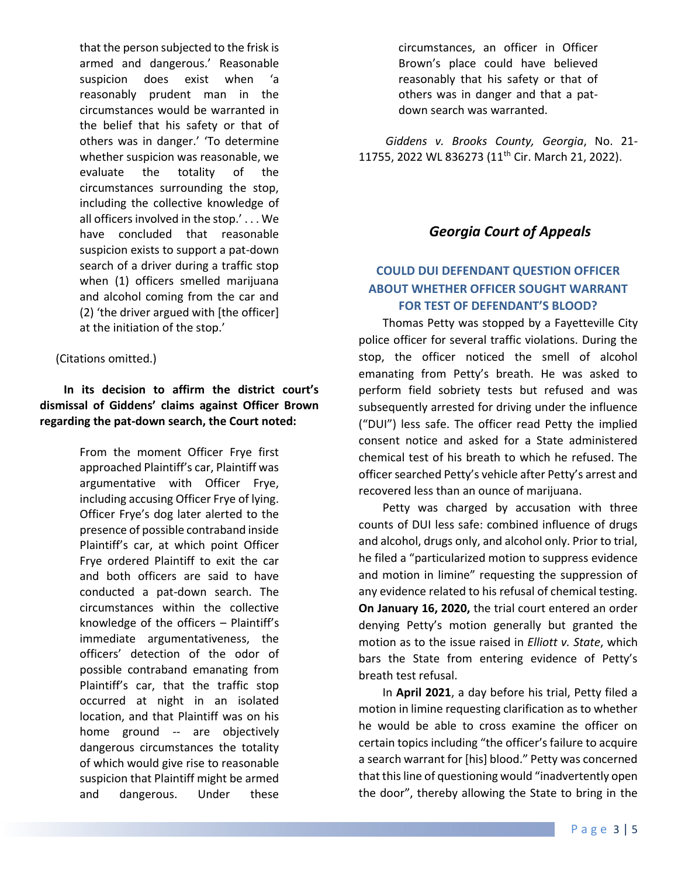that the person subjected to the frisk is armed and dangerous.' Reasonable suspicion does exist when 'a reasonably prudent man in the circumstances would be warranted in the belief that his safety or that of others was in danger.' 'To determine whether suspicion was reasonable, we evaluate the totality of the circumstances surrounding the stop, including the collective knowledge of all officers involved in the stop.' . . . We have concluded that reasonable suspicion exists to support a pat-down search of a driver during a traffic stop when (1) officers smelled marijuana and alcohol coming from the car and (2) 'the driver argued with [the officer] at the initiation of the stop.'

(Citations omitted.)

### **In its decision to affirm the district court's dismissal of Giddens' claims against Officer Brown regarding the pat-down search, the Court noted:**

From the moment Officer Frye first approached Plaintiff's car, Plaintiff was argumentative with Officer Frye, including accusing Officer Frye of lying. Officer Frye's dog later alerted to the presence of possible contraband inside Plaintiff's car, at which point Officer Frye ordered Plaintiff to exit the car and both officers are said to have conducted a pat-down search. The circumstances within the collective knowledge of the officers – Plaintiff's immediate argumentativeness, the officers' detection of the odor of possible contraband emanating from Plaintiff's car, that the traffic stop occurred at night in an isolated location, and that Plaintiff was on his home ground -- are objectively dangerous circumstances the totality of which would give rise to reasonable suspicion that Plaintiff might be armed and dangerous. Under these

circumstances, an officer in Officer Brown's place could have believed reasonably that his safety or that of others was in danger and that a patdown search was warranted.

*Giddens v. Brooks County, Georgia*, No. 21- 11755, 2022 WL 836273 (11<sup>th</sup> Cir. March 21, 2022).

## *Georgia Court of Appeals*

## **COULD DUI DEFENDANT QUESTION OFFICER ABOUT WHETHER OFFICER SOUGHT WARRANT FOR TEST OF DEFENDANT'S BLOOD?**

Thomas Petty was stopped by a Fayetteville City police officer for several traffic violations. During the stop, the officer noticed the smell of alcohol emanating from Petty's breath. He was asked to perform field sobriety tests but refused and was subsequently arrested for driving under the influence ("DUI") less safe. The officer read Petty the implied consent notice and asked for a State administered chemical test of his breath to which he refused. The officer searched Petty's vehicle after Petty's arrest and recovered less than an ounce of marijuana.

Petty was charged by accusation with three counts of DUI less safe: combined influence of drugs and alcohol, drugs only, and alcohol only. Prior to trial, he filed a "particularized motion to suppress evidence and motion in limine" requesting the suppression of any evidence related to his refusal of chemical testing. **On January 16, 2020,** the trial court entered an order denying Petty's motion generally but granted the motion as to the issue raised in *Elliott v. State*, which bars the State from entering evidence of Petty's breath test refusal.

In **April 2021**, a day before his trial, Petty filed a motion in limine requesting clarification as to whether he would be able to cross examine the officer on certain topics including "the officer's failure to acquire a search warrant for [his] blood." Petty was concerned that this line of questioning would "inadvertently open the door", thereby allowing the State to bring in the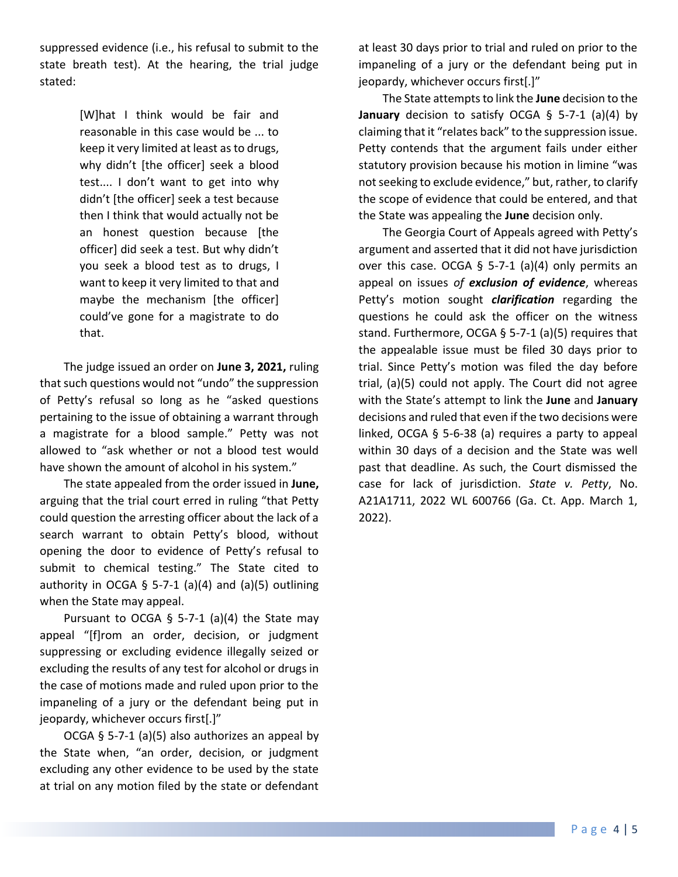suppressed evidence (i.e., his refusal to submit to the state breath test). At the hearing, the trial judge stated:

> [W]hat I think would be fair and reasonable in this case would be ... to keep it very limited at least as to drugs, why didn't [the officer] seek a blood test.... I don't want to get into why didn't [the officer] seek a test because then I think that would actually not be an honest question because [the officer] did seek a test. But why didn't you seek a blood test as to drugs, I want to keep it very limited to that and maybe the mechanism [the officer] could've gone for a magistrate to do that.

The judge issued an order on **June 3, 2021,** ruling that such questions would not "undo" the suppression of Petty's refusal so long as he "asked questions pertaining to the issue of obtaining a warrant through a magistrate for a blood sample." Petty was not allowed to "ask whether or not a blood test would have shown the amount of alcohol in his system."

The state appealed from the order issued in **June,** arguing that the trial court erred in ruling "that Petty could question the arresting officer about the lack of a search warrant to obtain Petty's blood, without opening the door to evidence of Petty's refusal to submit to chemical testing." The State cited to authority in OCGA § 5-7-1 (a)(4) and (a)(5) outlining when the State may appeal.

Pursuant to OCGA § 5-7-1 (a)(4) the State may appeal "[f]rom an order, decision, or judgment suppressing or excluding evidence illegally seized or excluding the results of any test for alcohol or drugs in the case of motions made and ruled upon prior to the impaneling of a jury or the defendant being put in jeopardy, whichever occurs first[.]"

OCGA § 5-7-1 (a)(5) also authorizes an appeal by the State when, "an order, decision, or judgment excluding any other evidence to be used by the state at trial on any motion filed by the state or defendant

at least 30 days prior to trial and ruled on prior to the impaneling of a jury or the defendant being put in jeopardy, whichever occurs first[.]"

The State attempts to link the **June** decision to the **January** decision to satisfy OCGA § 5-7-1 (a)(4) by claiming that it "relates back" to the suppression issue. Petty contends that the argument fails under either statutory provision because his motion in limine "was not seeking to exclude evidence," but, rather, to clarify the scope of evidence that could be entered, and that the State was appealing the **June** decision only.

The Georgia Court of Appeals agreed with Petty's argument and asserted that it did not have jurisdiction over this case. OCGA § 5-7-1 (a)(4) only permits an appeal on issues *of exclusion of evidence*, whereas Petty's motion sought *clarification* regarding the questions he could ask the officer on the witness stand. Furthermore, OCGA § 5-7-1 (a)(5) requires that the appealable issue must be filed 30 days prior to trial. Since Petty's motion was filed the day before trial, (a)(5) could not apply. The Court did not agree with the State's attempt to link the **June** and **January**  decisions and ruled that even if the two decisions were linked, OCGA § 5-6-38 (a) requires a party to appeal within 30 days of a decision and the State was well past that deadline. As such, the Court dismissed the case for lack of jurisdiction. *State v. Petty*, No. A21A1711, 2022 WL 600766 (Ga. Ct. App. March 1, 2022).